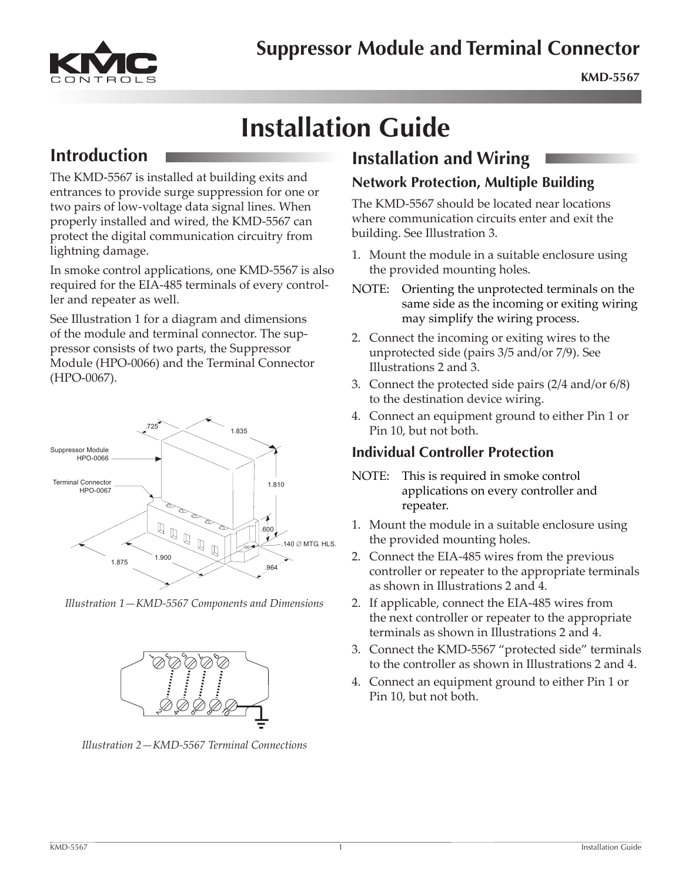# **Suppressor Module and Terminal Connector**



# **Installation Guide**

## **Introduction**

The KMD-5567 is installed at building exits and entrances to provide surge suppression for one or two pairs of low-voltage data signal lines. When properly installed and wired, the KMD-5567 can protect the digital communication circuitry from lightning damage.

In smoke control applications, one KMD-5567 is also required for the EIA-485 terminals of every controller and repeater as well.

See Illustration 1 for a diagram and dimensions of the module and terminal connector. The suppressor consists of two parts, the Suppressor Module (HPO-0066) and the Terminal Connector (HPO-0067).



Illustration 1-KMD-5567 Components and Dimensions



Illustration 2-KMD-5567 Terminal Connections

## **Installation and Wiring**

#### **Network Protection, Multiple Building**

The KMD-5567 should be located near locations where communication circuits enter and exit the building. See Illustration 3.

- 1. Mount the module in a suitable enclosure using the provided mounting holes.
- NOTE: Orienting the unprotected terminals on the same side as the incoming or exiting wiring may simplify the wiring process.
- 2. Connect the incoming or exiting wires to the unprotected side (pairs 3/5 and/or 7/9). See Illustrations 2 and 3.
- 3. Connect the protected side pairs  $(2/4 \text{ and/or } 6/8)$ to the destination device wiring.
- 4. Connect an equipment ground to either Pin 1 or Pin 10, but not both.

#### **Individual Controller Protection**

- NOTE: This is required in smoke control applications on every controller and repeater.
- 1. Mount the module in a suitable enclosure using the provided mounting holes.
- 2. Connect the EIA-485 wires from the previous controller or repeater to the appropriate terminals as shown in Illustrations 2 and 4.
- 2. If applicable, connect the EIA-485 wires from the next controller or repeater to the appropriate terminals as shown in Illustrations 2 and 4.
- 3. Connect the KMD-5567 "protected side" terminals to the controller as shown in Illustrations 2 and 4.
- 4. Connect an equipment ground to either Pin 1 or Pin 10, but not both.